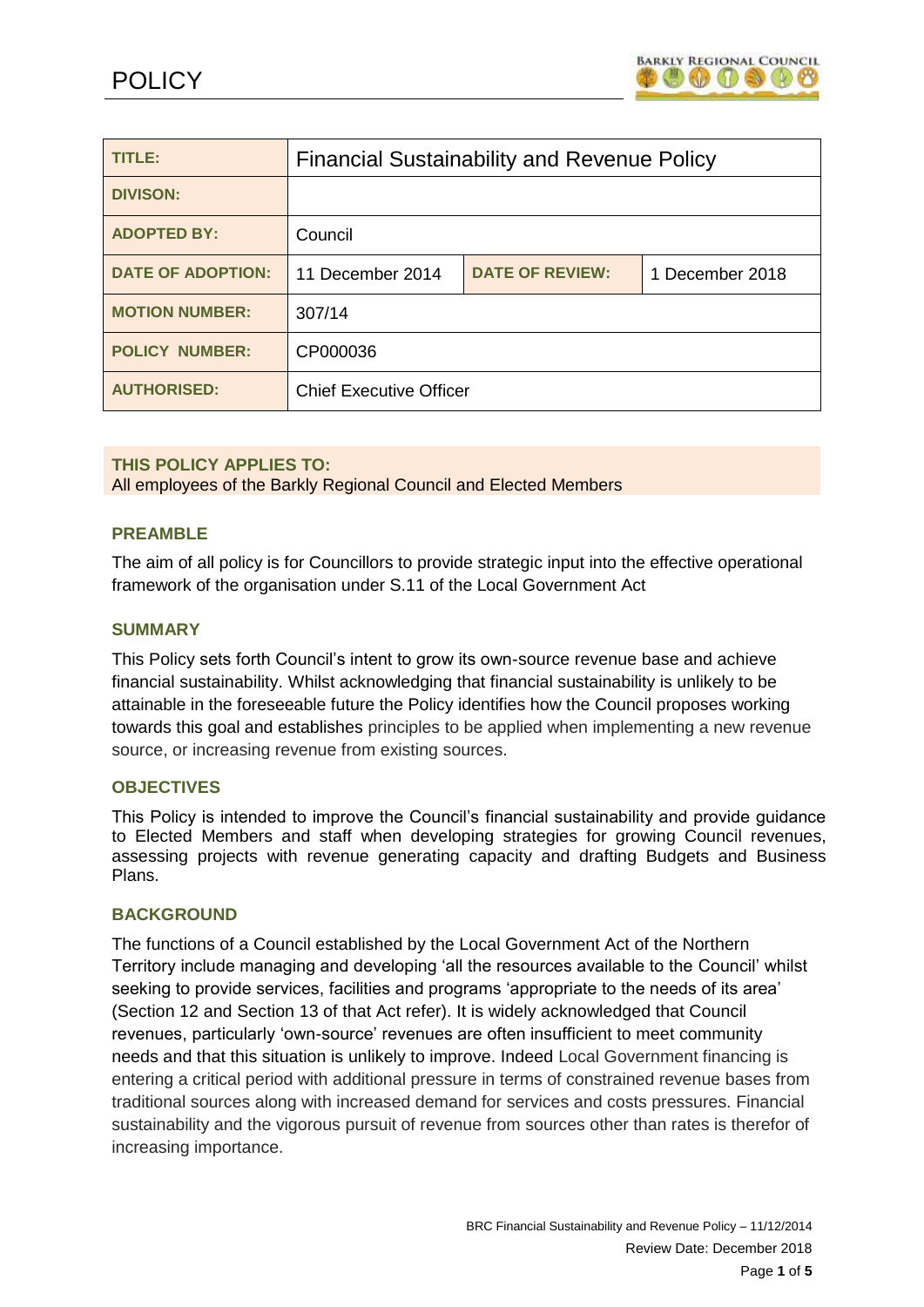

| TITLE:                   | <b>Financial Sustainability and Revenue Policy</b> |                        |                 |
|--------------------------|----------------------------------------------------|------------------------|-----------------|
| <b>DIVISON:</b>          |                                                    |                        |                 |
| <b>ADOPTED BY:</b>       | Council                                            |                        |                 |
| <b>DATE OF ADOPTION:</b> | 11 December 2014                                   | <b>DATE OF REVIEW:</b> | 1 December 2018 |
| <b>MOTION NUMBER:</b>    | 307/14                                             |                        |                 |
| <b>POLICY NUMBER:</b>    | CP000036                                           |                        |                 |
| <b>AUTHORISED:</b>       | <b>Chief Executive Officer</b>                     |                        |                 |

## **THIS POLICY APPLIES TO:**

All employees of the Barkly Regional Council and Elected Members

### **PREAMBLE**

The aim of all policy is for Councillors to provide strategic input into the effective operational framework of the organisation under S.11 of the Local Government Act

#### **SUMMARY**

This Policy sets forth Council's intent to grow its own-source revenue base and achieve financial sustainability. Whilst acknowledging that financial sustainability is unlikely to be attainable in the foreseeable future the Policy identifies how the Council proposes working towards this goal and establishes principles to be applied when implementing a new revenue source, or increasing revenue from existing sources.

#### **OBJECTIVES**

This Policy is intended to improve the Council's financial sustainability and provide guidance to Elected Members and staff when developing strategies for growing Council revenues, assessing projects with revenue generating capacity and drafting Budgets and Business Plans.

#### **BACKGROUND**

The functions of a Council established by the Local Government Act of the Northern Territory include managing and developing 'all the resources available to the Council' whilst seeking to provide services, facilities and programs 'appropriate to the needs of its area' (Section 12 and Section 13 of that Act refer). It is widely acknowledged that Council revenues, particularly 'own-source' revenues are often insufficient to meet community needs and that this situation is unlikely to improve. Indeed Local Government financing is entering a critical period with additional pressure in terms of constrained revenue bases from traditional sources along with increased demand for services and costs pressures. Financial sustainability and the vigorous pursuit of revenue from sources other than rates is therefor of increasing importance.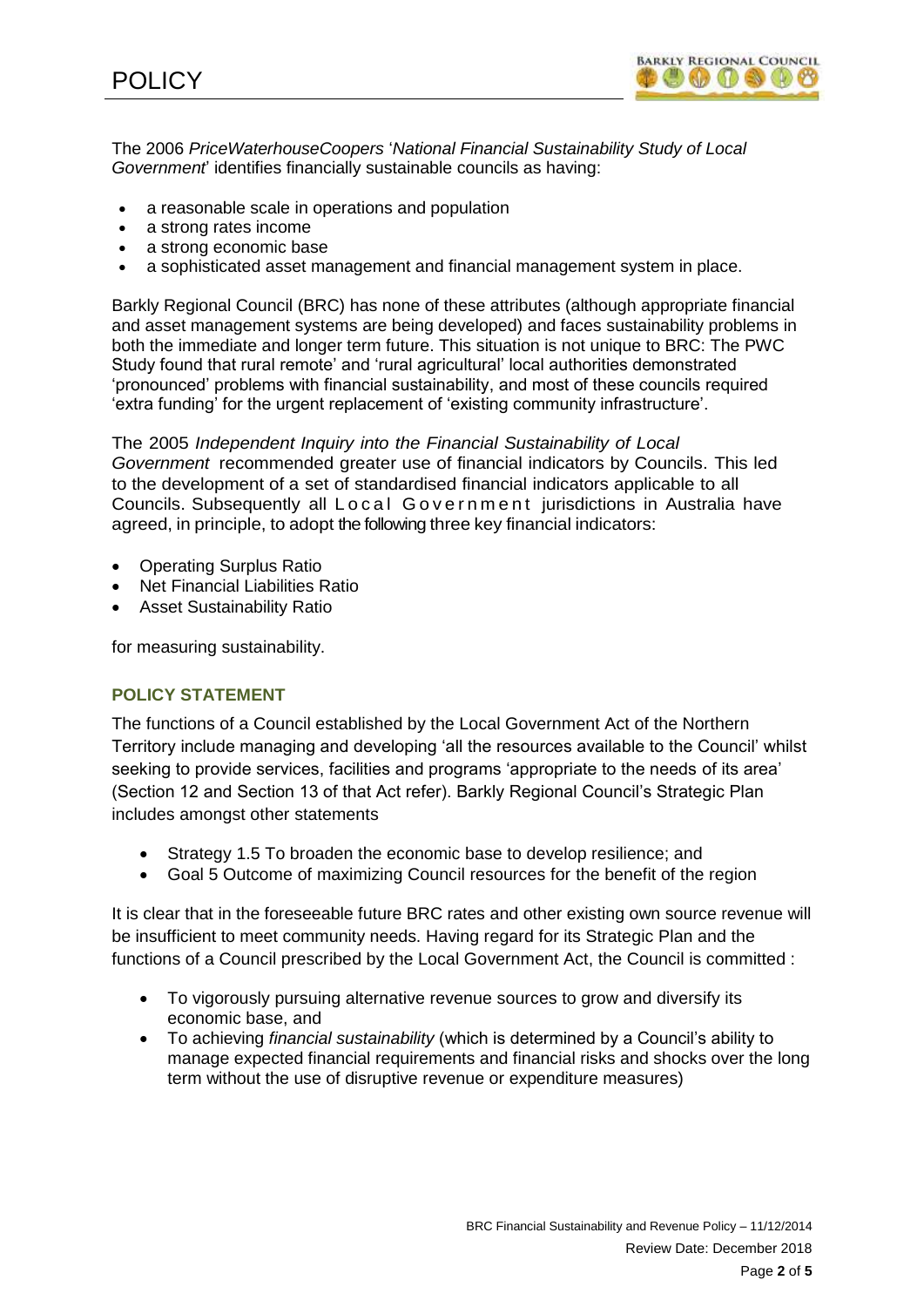

The 2006 *PriceWaterhouseCoopers* '*[National Financial Sustainability Study of Local](http://www.alga.asn.au/?ID=260)  [Government](http://www.alga.asn.au/?ID=260)*' identifies financially sustainable councils as having:

- a reasonable scale in operations and population
- a strong rates income
- a strong economic base
- a sophisticated asset management and financial management system in place.

Barkly Regional Council (BRC) has none of these attributes (although appropriate financial and asset management systems are being developed) and faces sustainability problems in both the immediate and longer term future. This situation is not unique to BRC: The PWC Study found that rural remote' and 'rural agricultural' local authorities demonstrated 'pronounced' problems with financial sustainability, and most of these councils required 'extra funding' for the urgent replacement of 'existing community infrastructure'.

The 2005 *Independent Inquiry into the Financial Sustainability of Local Government* recommended greater use of financial indicators by Councils. This led to the development of a set of standardised financial indicators applicable to all Councils. Subsequently all Local Government jurisdictions in Australia have agreed, in principle, to adopt the following three key financial indicators:

- Operating Surplus Ratio
- Net Financial Liabilities Ratio
- Asset Sustainability Ratio

for measuring sustainability.

# **POLICY STATEMENT**

The functions of a Council established by the Local Government Act of the Northern Territory include managing and developing 'all the resources available to the Council' whilst seeking to provide services, facilities and programs 'appropriate to the needs of its area' (Section 12 and Section 13 of that Act refer). Barkly Regional Council's Strategic Plan includes amongst other statements

- Strategy 1.5 To broaden the economic base to develop resilience; and
- Goal 5 Outcome of maximizing Council resources for the benefit of the region

It is clear that in the foreseeable future BRC rates and other existing own source revenue will be insufficient to meet community needs. Having regard for its Strategic Plan and the functions of a Council prescribed by the Local Government Act, the Council is committed :

- To vigorously pursuing alternative revenue sources to grow and diversify its economic base, and
- To achieving *financial sustainability* (which is determined by a Council's ability to manage expected financial requirements and financial risks and shocks over the long term without the use of disruptive revenue or expenditure measures)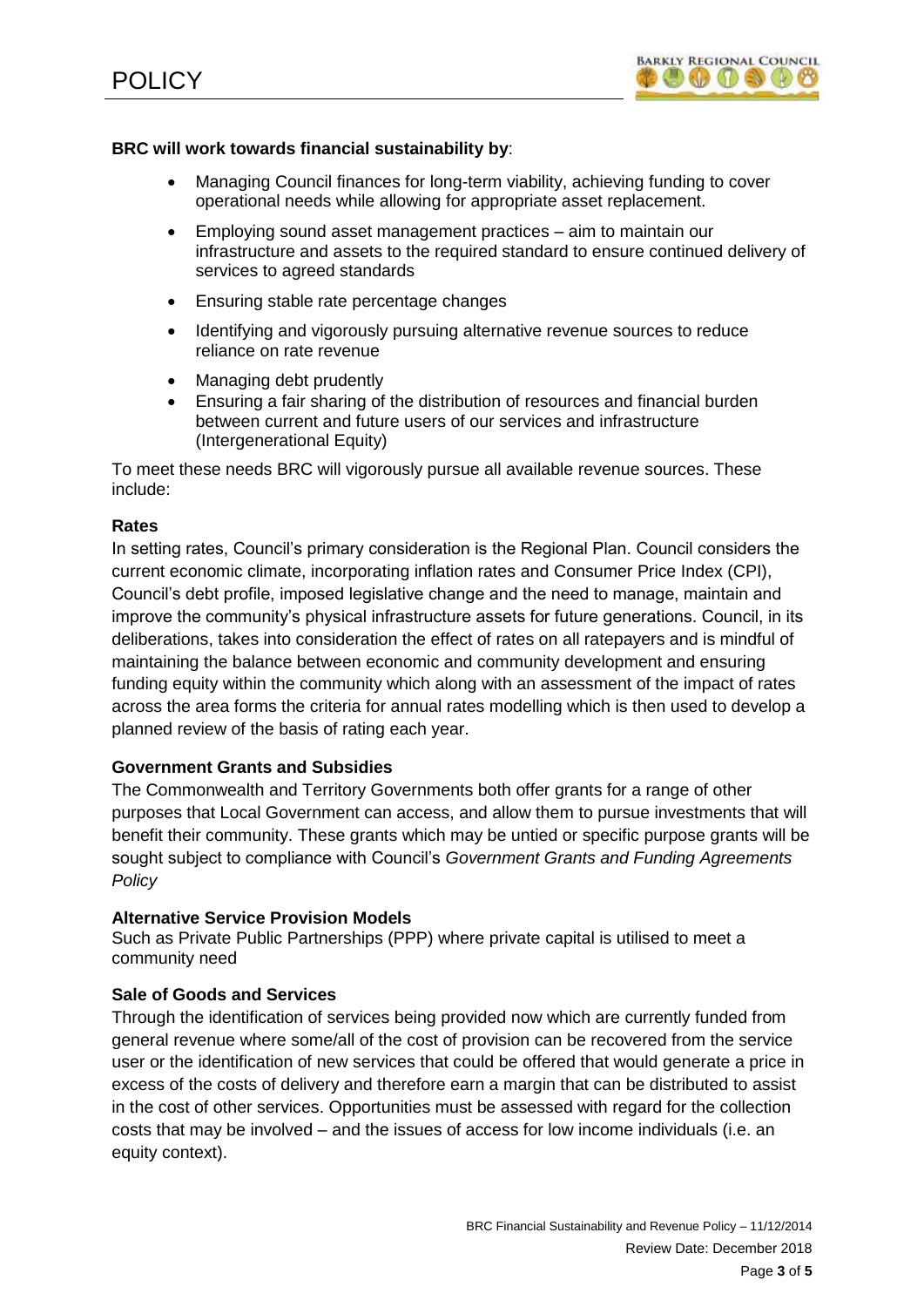

## **BRC will work towards financial sustainability by**:

- Managing Council finances for long-term viability, achieving funding to cover operational needs while allowing for appropriate asset replacement.
- Employing sound asset management practices aim to maintain our infrastructure and assets to the required standard to ensure continued delivery of services to agreed standards
- Ensuring stable rate percentage changes
- Identifying and vigorously pursuing alternative revenue sources to reduce reliance on rate revenue
- Managing debt prudently
- Ensuring a fair sharing of the distribution of resources and financial burden between current and future users of our services and infrastructure (Intergenerational Equity)

To meet these needs BRC will vigorously pursue all available revenue sources. These include:

## **Rates**

In setting rates, Council's primary consideration is the Regional Plan. Council considers the current economic climate, incorporating inflation rates and Consumer Price Index (CPI), Council's debt profile, imposed legislative change and the need to manage, maintain and improve the community's physical infrastructure assets for future generations. Council, in its deliberations, takes into consideration the effect of rates on all ratepayers and is mindful of maintaining the balance between economic and community development and ensuring funding equity within the community which along with an assessment of the impact of rates across the area forms the criteria for annual rates modelling which is then used to develop a planned review of the basis of rating each year.

## **Government Grants and Subsidies**

The Commonwealth and Territory Governments both offer grants for a range of other purposes that Local Government can access, and allow them to pursue investments that will benefit their community. These grants which may be untied or specific purpose grants will be sought subject to compliance with Council's *Government Grants and Funding Agreements Policy*

## **Alternative Service Provision Models**

Such as Private Public Partnerships (PPP) where private capital is utilised to meet a community need

## **Sale of Goods and Services**

Through the identification of services being provided now which are currently funded from general revenue where some/all of the cost of provision can be recovered from the service user or the identification of new services that could be offered that would generate a price in excess of the costs of delivery and therefore earn a margin that can be distributed to assist in the cost of other services. Opportunities must be assessed with regard for the collection costs that may be involved – and the issues of access for low income individuals (i.e. an equity context).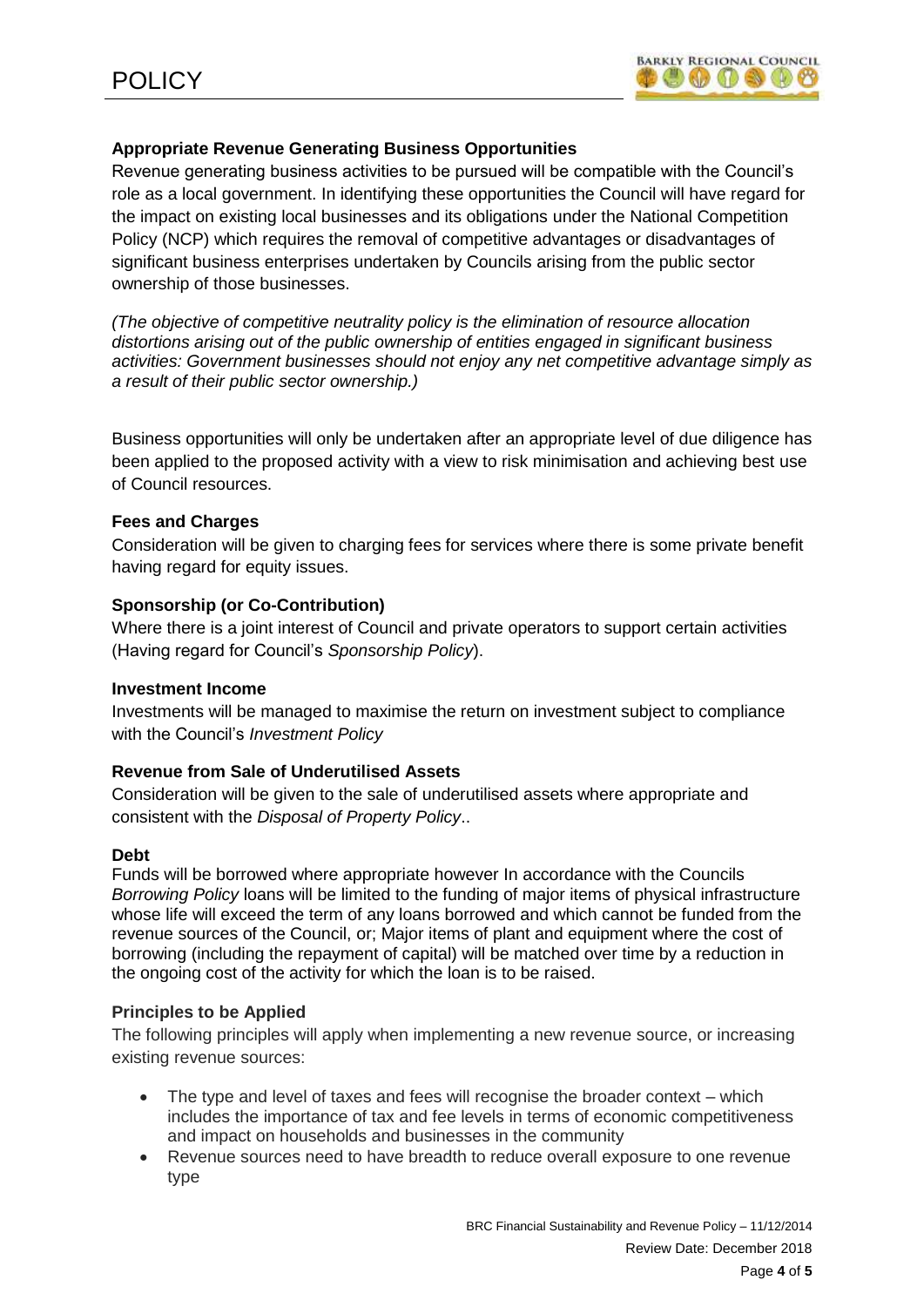# **Appropriate Revenue Generating Business Opportunities**

Revenue generating business activities to be pursued will be compatible with the Council's role as a local government. In identifying these opportunities the Council will have regard for the impact on existing local businesses and its obligations under the National Competition Policy (NCP) which requires the removal of competitive advantages or disadvantages of significant business enterprises undertaken by Councils arising from the public sector ownership of those businesses.

*(The objective of competitive neutrality policy is the elimination of resource allocation distortions arising out of the public ownership of entities engaged in significant business activities: Government businesses should not enjoy any net competitive advantage simply as a result of their public sector ownership.)*

Business opportunities will only be undertaken after an appropriate level of due diligence has been applied to the proposed activity with a view to risk minimisation and achieving best use of Council resources.

## **Fees and Charges**

Consideration will be given to charging fees for services where there is some private benefit having regard for equity issues.

## **Sponsorship (or Co-Contribution)**

Where there is a joint interest of Council and private operators to support certain activities (Having regard for Council's *Sponsorship Policy*).

## **Investment Income**

Investments will be managed to maximise the return on investment subject to compliance with the Council's *Investment Policy*

# **Revenue from Sale of Underutilised Assets**

Consideration will be given to the sale of underutilised assets where appropriate and consistent with the *Disposal of Property Policy*..

## **Debt**

Funds will be borrowed where appropriate however In accordance with the Councils *Borrowing Policy* loans will be limited to the funding of major items of physical infrastructure whose life will exceed the term of any loans borrowed and which cannot be funded from the revenue sources of the Council, or; Major items of plant and equipment where the cost of borrowing (including the repayment of capital) will be matched over time by a reduction in the ongoing cost of the activity for which the loan is to be raised.

# **Principles to be Applied**

The following principles will apply when implementing a new revenue source, or increasing existing revenue sources:

- The type and level of taxes and fees will recognise the broader context which includes the importance of tax and fee levels in terms of economic competitiveness and impact on households and businesses in the community
- Revenue sources need to have breadth to reduce overall exposure to one revenue type